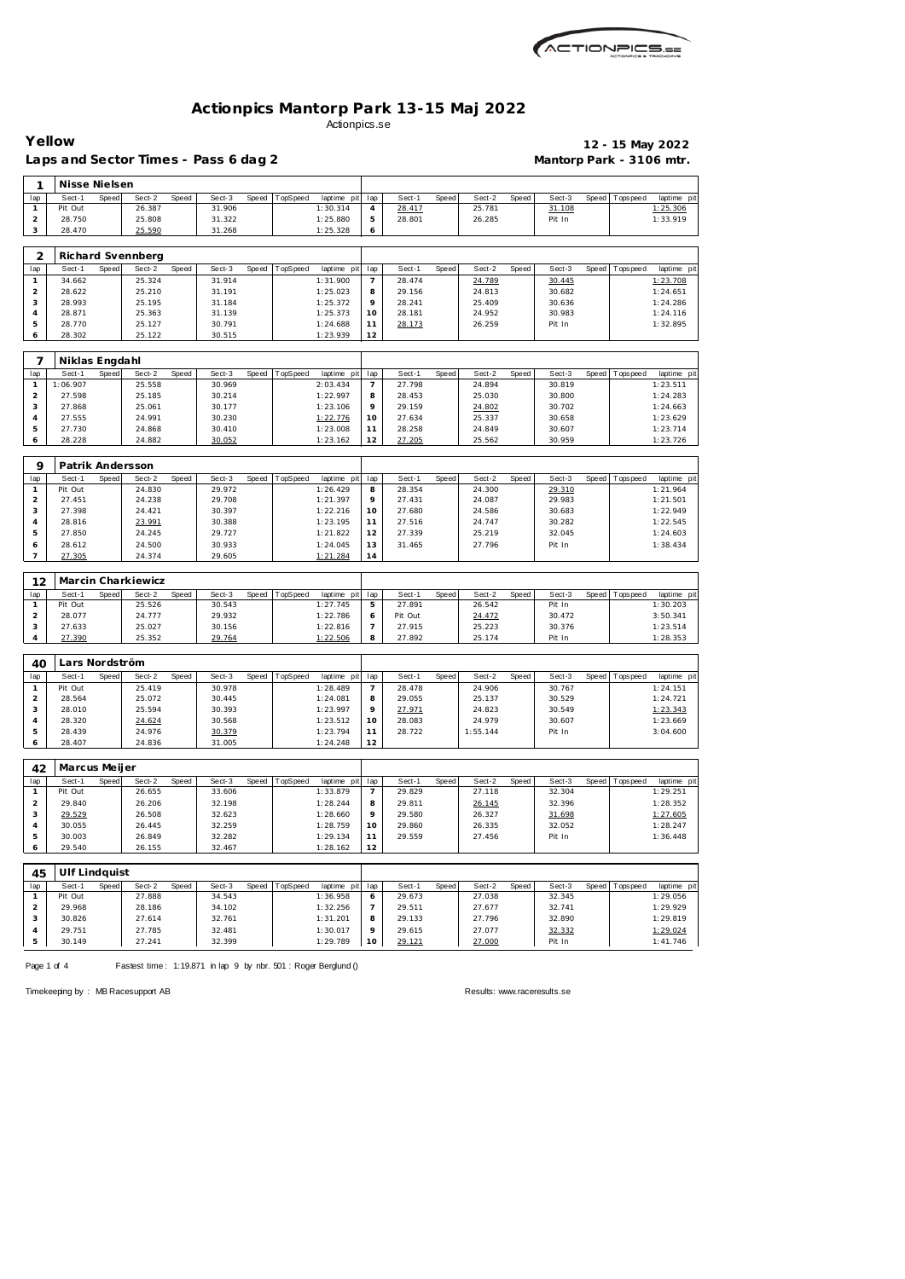| ACTIONPICS.sa |
|---------------|
|               |

|                     | Yellow            |       | Laps and Sector Times - Pass 6 dag 2 |       |                  |       |                  |                         |                       |                  |       |                  |              | Mantorp Park - 3106 mtr. |              | 12 - 15 May 2022 |                                        |
|---------------------|-------------------|-------|--------------------------------------|-------|------------------|-------|------------------|-------------------------|-----------------------|------------------|-------|------------------|--------------|--------------------------|--------------|------------------|----------------------------------------|
| 1                   | Nisse Nielsen     |       |                                      |       |                  |       |                  |                         |                       |                  |       |                  |              |                          |              |                  |                                        |
| lap                 | Sect-1            | Speed | Sect-2                               | Speed | Sect-3           | Speed | TopSpeed         | laptime pit             | lap                   | Sect-1           | Speed | Sect-2           | Speed        | Sect-3                   | Speed        | Tops peed        | laptime pit                            |
| $\mathbf{1}$        | Pit Out           |       | 26.387                               |       | 31.906           |       |                  | 1:30.314                | 4                     | 28.417           |       | 25.781           |              | 31.108                   |              |                  | 1:25.306                               |
| $\overline{a}$      | 28.750            |       | 25.808                               |       | 31.322           |       |                  | 1:25.880                | 5                     | 28.801           |       | 26.285           |              | Pit In                   |              |                  | 1:33.919                               |
| 3                   | 28.470            |       | 25.590                               |       | 31.268           |       |                  | 1:25.328                | 6                     |                  |       |                  |              |                          |              |                  |                                        |
|                     |                   |       |                                      |       |                  |       |                  |                         |                       |                  |       |                  |              |                          |              |                  |                                        |
| $\overline{2}$      | Sect-1            | Speed | Richard Svennberg<br>Sect-2          |       | Sect-3           |       | TopSpeed         |                         |                       | Sect-1           |       | Sect-2           |              | Sect-3                   | <b>Speed</b> |                  |                                        |
| lap<br>$\mathbf{1}$ | 34.662            |       | 25.324                               | Speed | 31.914           | Speed |                  | laptime pit<br>1:31.900 | lap<br>$\overline{7}$ | 28.474           | Speed | 24.789           | Speed        | 30.445                   |              | T ops pee d      | laptime pit<br>1:23.708                |
| $\overline{c}$      | 28.622            |       | 25.210                               |       | 31.191           |       |                  | 1:25.023                | 8                     | 29.156           |       | 24.813           |              | 30.682                   |              |                  | 1:24.651                               |
| 3                   | 28.993            |       | 25.195                               |       | 31.184           |       |                  | 1:25.372                | 9                     | 28.241           |       | 25.409           |              | 30.636                   |              |                  | 1:24.286                               |
| 4                   | 28.871            |       | 25.363                               |       | 31.139           |       |                  | 1:25.373                | 10                    | 28.181           |       | 24.952           |              | 30.983                   |              |                  | 1:24.116                               |
| 5                   | 28.770            |       | 25.127                               |       | 30.791           |       |                  | 1:24.688                | 11                    | 28.173           |       | 26.259           |              | Pit In                   |              |                  | 1:32.895                               |
| 6                   | 28.302            |       | 25.122                               |       | 30.515           |       |                  | 1:23.939                | 12                    |                  |       |                  |              |                          |              |                  |                                        |
|                     |                   |       |                                      |       |                  |       |                  |                         |                       |                  |       |                  |              |                          |              |                  |                                        |
| 7                   | Niklas Engdahl    |       |                                      |       |                  |       |                  |                         |                       |                  |       |                  |              |                          |              |                  |                                        |
| lap                 | Sect-1            | Speed | Sect-2                               | Speed | Sect-3           | Speed | TopSpeed         | laptime pit             | lap                   | Sect-1           | Speed | Sect-2           | Speed        | Sect-3                   | Speed        | Tops peed        | laptime pit                            |
| $\mathbf{1}$        | 1:06.907          |       | 25.558                               |       | 30.969           |       |                  | 2:03.434                | $\overline{7}$        | 27.798           |       | 24.894           |              | 30.819                   |              |                  | 1:23.511                               |
| $\overline{c}$      | 27.598            |       | 25.185                               |       | 30.214           |       |                  | 1:22.997                | 8                     | 28.453           |       | 25.030           |              | 30.800                   |              |                  | 1:24.283                               |
| 3                   | 27.868            |       | 25.061                               |       | 30.177           |       |                  | 1:23.106                | 9                     | 29.159           |       | 24.802           |              | 30.702                   |              |                  | 1:24.663                               |
| 4                   | 27.555            |       | 24.991                               |       | 30.230           |       |                  | 1:22.776                | 10                    | 27.634           |       | 25.337           |              | 30.658                   |              |                  | 1:23.629                               |
| 5                   | 27.730            |       | 24.868                               |       | 30.410           |       |                  | 1:23.008                | 11                    | 28.258           |       | 24.849           |              | 30.607                   |              |                  | 1:23.714                               |
| 6                   | 28.228            |       | 24.882                               |       | 30.052           |       |                  | 1:23.162                | 12                    | 27.205           |       | 25.562           |              | 30.959                   |              |                  | 1:23.726                               |
|                     |                   |       |                                      |       |                  |       |                  |                         |                       |                  |       |                  |              |                          |              |                  |                                        |
| 9                   | Patrik Andersson  |       |                                      |       |                  |       |                  |                         |                       |                  |       |                  |              |                          |              |                  |                                        |
| lap<br>$\mathbf{1}$ | Sect-1<br>Pit Out | Speed | Sect-2<br>24.830                     | Speed | Sect-3<br>29.972 | Speed | TopSpeed         | laptime pit<br>1:26.429 | lap<br>8              | Sect-1<br>28.354 | Speed | Sect-2<br>24.300 | <b>Speed</b> | Sect-3<br>29.310         | Speed        | T ops pee d      | laptime pit<br>1:21.964                |
| $\overline{a}$      | 27.451            |       | 24.238                               |       | 29.708           |       |                  | 1:21.397                | 9                     | 27.431           |       | 24.087           |              | 29.983                   |              |                  | 1:21.501                               |
| 3                   | 27.398            |       | 24.421                               |       | 30.397           |       |                  | 1:22.216                | 10                    | 27.680           |       | 24.586           |              | 30.683                   |              |                  | 1:22.949                               |
| 4                   | 28.816            |       | 23.991                               |       | 30.388           |       |                  | 1:23.195                | 11                    | 27.516           |       | 24.747           |              | 30.282                   |              |                  | 1:22.545                               |
| 5                   | 27.850            |       | 24.245                               |       | 29.727           |       |                  | 1:21.822                | 12                    | 27.339           |       | 25.219           |              | 32.045                   |              |                  | 1:24.603                               |
| 6                   | 28.612            |       | 24.500                               |       | 30.933           |       |                  | 1:24.045                | 13                    | 31.465           |       | 27.796           |              | Pit In                   |              |                  | 1:38.434                               |
| $\overline{7}$      | 27.305            |       | 24.374                               |       | 29.605           |       |                  | 1:21.284                | 14                    |                  |       |                  |              |                          |              |                  |                                        |
|                     |                   |       |                                      |       |                  |       |                  |                         |                       |                  |       |                  |              |                          |              |                  |                                        |
| 12                  |                   |       | Marcin Charkiewicz                   |       |                  |       |                  |                         |                       |                  |       |                  |              |                          |              |                  |                                        |
| lap                 | Sect-1            | Speed | Sect-2                               | Speed | Sect-3           | Speed | TopSpeed         | laptime pit             | lap                   | Sect-1           | Speed | Sect-2           | Speed        | Sect-3                   | Speed        | Tops peed        | laptime pit                            |
| $\mathbf{1}$        | Pit Out           |       | 25.526                               |       | 30.543           |       |                  | 1:27.745                | 5                     | 27.891           |       | 26.542           |              | Pit In                   |              |                  | 1:30.203                               |
| $\overline{2}$      | 28.077            |       | 24.777                               |       | 29.932           |       |                  | 1:22.786                | 6                     | Pit Out          |       | 24.472           |              | 30.472                   |              |                  | 3:50.341                               |
| 3                   | 27.633            |       | 25.027                               |       | 30.156           |       |                  | 1:22.816                | $\overline{7}$        | 27.915           |       | 25.223           |              | 30.376                   |              |                  | 1:23.514                               |
| 4                   | 27.390            |       | 25.352                               |       | 29.764           |       |                  | 1:22.506                | 8                     | 27.892           |       | 25.174           |              | Pit In                   |              |                  | 1:28.353                               |
| 40                  | Lars Nordström    |       |                                      |       |                  |       |                  |                         |                       |                  |       |                  |              |                          |              |                  |                                        |
| lap                 | Sect-1            | Speed | Sect-2                               | Speed | Sect-3           |       | Speed   TopSpeed | laptime pit lap         |                       | Sect-1           | Speed | Sect-2           | Speed        | Sect-3                   |              | Speed Topspeed   | laptime pit                            |
| $\mathbf{1}$        | Pit Out           |       | 25.419                               |       | 30.978           |       |                  | 1:28.489                | $\overline{7}$        | 28.478           |       | 24.906           |              | 30.767                   |              |                  | 1:24.151                               |
| $\overline{a}$      | 28.564            |       | 25.072                               |       | 30.445           |       |                  | 1:24.081                | 8                     | 29.055           |       | 25.137           |              | 30.529                   |              |                  | 1:24.721                               |
| 3                   | 28.010            |       | 25.594                               |       | 30.393           |       |                  | 1:23.997                | 9                     | 27.971           |       | 24.823           |              | 30.549                   |              |                  | 1:23.343                               |
| $\overline{4}$      | 28.320            |       |                                      |       |                  |       |                  |                         | 10                    |                  |       |                  |              | 30.607                   |              |                  | 1:23.669                               |
| 5                   |                   |       | 24.624                               |       | 30.568           |       |                  | 1:23.512                |                       | 28.083           |       | 24.979           |              |                          |              |                  |                                        |
| 6                   | 28.439            |       | 24.976                               |       | 30.379           |       |                  | 1:23.794                | 11                    | 28.722           |       | 1:55.144         |              | Pit In                   |              |                  | 3:04.600                               |
|                     | 28.407            |       | 24.836                               |       | 31.005           |       |                  | 1:24.248                | 12                    |                  |       |                  |              |                          |              |                  |                                        |
|                     |                   |       |                                      |       |                  |       |                  |                         |                       |                  |       |                  |              |                          |              |                  |                                        |
| 42                  | Marcus Meijer     |       |                                      |       |                  |       |                  |                         |                       |                  |       |                  |              |                          |              |                  |                                        |
| lap                 | Sect-1            | Speed | Sect-2                               | Speed | Sect-3           | Speed | TopSpeed         | laptime pit             | lap                   | Sect-1           | Speed | Sect-2           | Speed        | Sect-3                   | Speed        | Tops peed        |                                        |
| $\mathbf{1}$        | Pit Out           |       | 26.655                               |       | 33.606           |       |                  | 1:33.879                | $\overline{7}$        | 29.829           |       | 27.118           |              | 32.304                   |              |                  | 1:29.251                               |
| $\overline{c}$      | 29.840            |       | 26.206                               |       | 32.198           |       |                  | 1:28.244                | 8                     | 29.811           |       | 26.145           |              | 32.396                   |              |                  | 1:28.352                               |
| 3                   | 29.529            |       | 26.508                               |       | 32.623           |       |                  | 1:28.660                | 9                     | 29.580           |       | 26.327           |              | 31.698                   |              |                  | 1:27.605                               |
| 4                   | 30.055            |       | 26.445                               |       | 32.259           |       |                  | 1:28.759                | 10                    | 29.860           |       | 26.335           |              | 32.052                   |              |                  | 1:28.247                               |
| 5                   | 30.003            |       | 26.849                               |       | 32.282           |       |                  | 1:29.134                | 11                    | 29.559           |       | 27.456           |              | Pit In                   |              |                  | 1:36.448                               |
| 6                   | 29.540            |       | 26.155                               |       | 32.467           |       |                  | 1:28.162                | 12                    |                  |       |                  |              |                          |              |                  |                                        |
|                     | Ulf Lindquist     |       |                                      |       |                  |       |                  |                         |                       |                  |       |                  |              |                          |              |                  |                                        |
| 45<br>lap           | Sect-1            | Speed | Sect-2                               | Speed | Sect-3           | Speed | TopSpeed         | laptime pit             | lap                   | Sect-1           | Speed | Sect-2           | Speed        | Sect-3                   | Speed        | T ops pee d      |                                        |
| $\mathbf{1}$        | Pit Out           |       | 27.888                               |       | 34.543           |       |                  | 1:36.958                | 6                     | 29.673           |       | 27.038           |              | 32.345                   |              |                  | laptime pit<br>laptime pit<br>1:29.056 |
| $\overline{a}$      | 29.968            |       | 28.186                               |       | 34.102           |       |                  | 1:32.256                | 7                     | 29.511           |       | 27.677           |              | 32.741                   |              |                  | 1:29.929                               |
| 3                   | 30.826            |       | 27.614                               |       | 32.761           |       |                  | 1:31.201                | 8                     | 29.133           |       | 27.796           |              | 32.890                   |              |                  | 1:29.819                               |
| 4                   | 29.751            |       | 27.785                               |       | 32.481           |       |                  | 1:30.017                | 9                     | 29.615           |       | 27.077           |              | 32.332                   |              |                  | 1:29.024                               |

Page 1 of 4 Fastest time: 1:19.871 in lap 9 by nbr. 501 : Roger Berglund ()

Timekeeping by : MB Racesupport AB Results:<www.raceresults.se>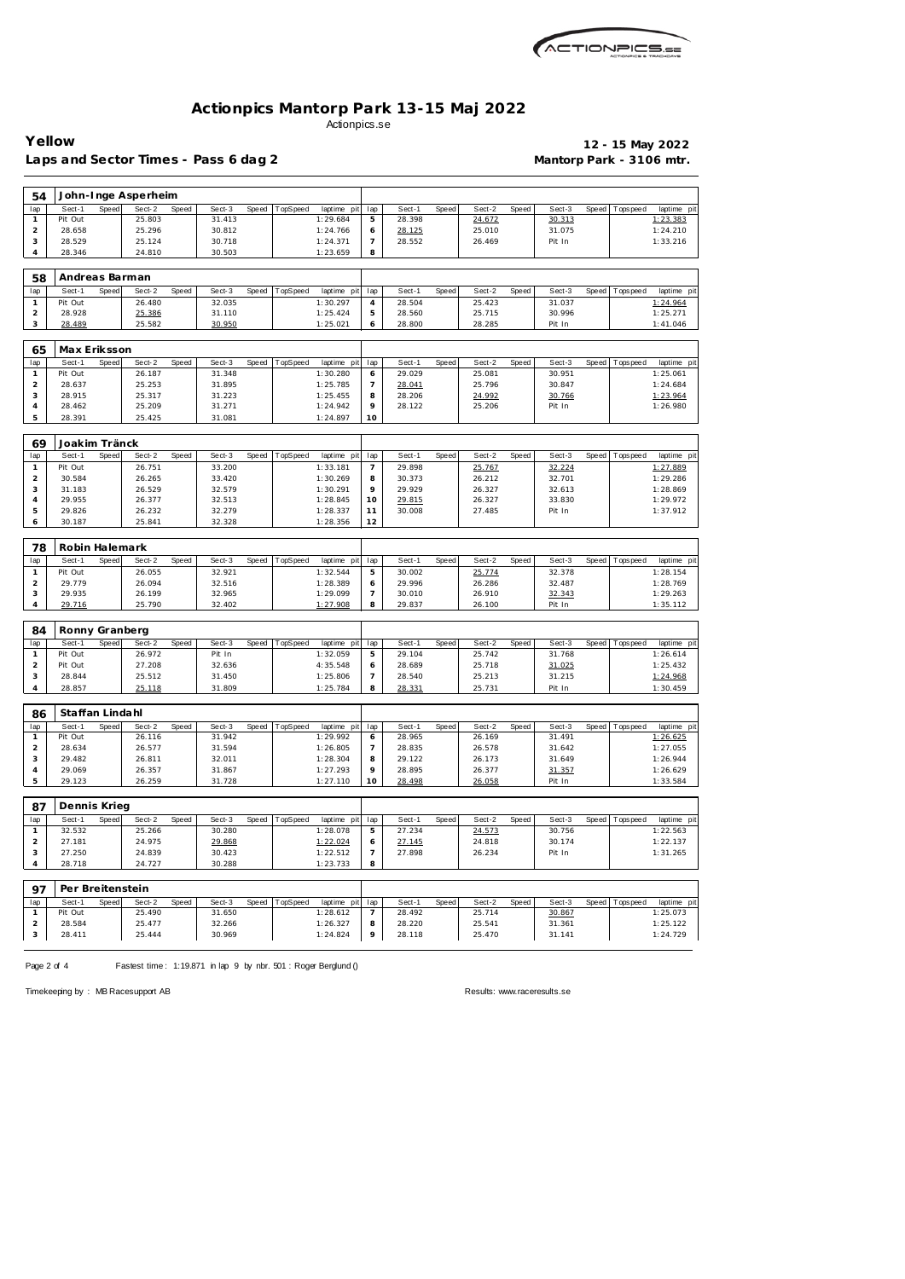

Laps and Sector Times - Pass 6 dag 2 **Mantorp Park - 3106 mtr.** 

**Yellow 12 - 15 May 2022**

| 54                      |                          |       | John-Inge Asperheim |       |        |       |          |                         |                       |        |              |        |       |        |       |                 |                      |
|-------------------------|--------------------------|-------|---------------------|-------|--------|-------|----------|-------------------------|-----------------------|--------|--------------|--------|-------|--------|-------|-----------------|----------------------|
| lap                     | Sect-1                   | Speed | Sect-2              | Speed | Sect-3 | Speed | TopSpeed | laptime pit             | lap                   | Sect-1 | Speed        | Sect-2 | Speed | Sect-3 | Speed | T ops pee d     | laptime pit          |
| 1                       | Pit Out                  |       | 25.803              |       | 31.413 |       |          | 1:29.684                | 5                     | 28.398 |              | 24.672 |       | 30.313 |       |                 | 1:23.383             |
| $\mathbf 2$             | 28.658                   |       | 25.296              |       | 30.812 |       |          | 1:24.766                | 6                     | 28.125 |              | 25.010 |       | 31.075 |       |                 | 1:24.210             |
| 3                       | 28.529                   |       | 25.124              |       | 30.718 |       |          | 1:24.371                | $\overline{7}$        | 28.552 |              | 26.469 |       | Pit In |       |                 | 1:33.216             |
| 4                       | 28.346                   |       | 24.810              |       | 30.503 |       |          | 1:23.659                | 8                     |        |              |        |       |        |       |                 |                      |
|                         |                          |       |                     |       |        |       |          |                         |                       |        |              |        |       |        |       |                 |                      |
| 58<br>lap               | Andreas Barman<br>Sect-1 | Speed | Sect-2              | Speed | Sect-3 | Speed | TopSpeed |                         |                       | Sect-1 | Speed        | Sect-2 | Speed | Sect-3 | Speed |                 | laptime pit          |
| 1                       | Pit Out                  |       | 26.480              |       | 32.035 |       |          | laptime pit<br>1:30.297 | lap<br>$\overline{4}$ | 28.504 |              | 25.423 |       | 31.037 |       | T ops pee d     | 1:24.964             |
| $\overline{\mathbf{c}}$ | 28.928                   |       | 25.386              |       | 31.110 |       |          | 1:25.424                | 5                     | 28.560 |              | 25.715 |       | 30.996 |       |                 | 1:25.271             |
| 3                       | 28.489                   |       | 25.582              |       | 30.950 |       |          | 1:25.021                | 6                     | 28.800 |              | 28.285 |       | Pit In |       |                 | 1:41.046             |
|                         |                          |       |                     |       |        |       |          |                         |                       |        |              |        |       |        |       |                 |                      |
| 65                      | Max Eriksson             |       |                     |       |        |       |          |                         |                       |        |              |        |       |        |       |                 |                      |
| lap                     | Sect-1                   | Speed | Sect-2              | Speed | Sect-3 | Speed | TopSpeed | laptime pit             | lap                   | Sect-1 | Speed        | Sect-2 | Speed | Sect-3 | Speed | T ops pee d     | laptime pit          |
| 1                       | Pit Out                  |       | 26.187              |       | 31.348 |       |          | 1:30.280                | 6                     | 29.029 |              | 25.081 |       | 30.951 |       |                 | 1:25.061             |
| $\overline{c}$          | 28.637                   |       | 25.253              |       | 31.895 |       |          | 1:25.785                | $\overline{7}$        | 28.041 |              | 25.796 |       | 30.847 |       |                 | 1:24.684             |
| 3                       | 28.915                   |       | 25.317              |       | 31.223 |       |          | 1:25.455                | 8                     | 28.206 |              | 24.992 |       | 30.766 |       |                 | 1:23.964             |
| $\overline{4}$          | 28.462                   |       | 25.209              |       | 31.271 |       |          | 1:24.942                | 9                     | 28.122 |              | 25.206 |       | Pit In |       |                 | 1:26.980             |
| 5                       | 28.391                   |       | 25.425              |       | 31.081 |       |          | 1:24.897                | 10                    |        |              |        |       |        |       |                 |                      |
|                         |                          |       |                     |       |        |       |          |                         |                       |        |              |        |       |        |       |                 |                      |
| 69                      | Joakim Tränck            |       |                     |       |        |       |          |                         |                       |        |              |        |       |        |       |                 |                      |
| lap                     | Sect-1                   | Speed | Sect-2              | Speed | Sect-3 | Speed | TopSpeed | laptime pit             | lap                   | Sect-1 | Speed        | Sect-2 | Speed | Sect-3 | Speed | Tops peed       | laptime pi           |
| $\mathbf{1}$            | Pit Out                  |       | 26.751              |       | 33.200 |       |          | 1:33.181                | $\overline{7}$        | 29.898 |              | 25.767 |       | 32.224 |       |                 | 1:27.889             |
| $\mathbf 2$             | 30.584                   |       | 26.265              |       | 33.420 |       |          | 1:30.269                | 8                     | 30.373 |              | 26.212 |       | 32.701 |       |                 | 1:29.286             |
| 3                       | 31.183                   |       | 26.529              |       | 32.579 |       |          | 1:30.291                | 9                     | 29.929 |              | 26.327 |       | 32.613 |       |                 | 1:28.869             |
| 4                       | 29.955                   |       | 26.377              |       | 32.513 |       |          | 1:28.845                | 10                    | 29.815 |              | 26.327 |       | 33.830 |       |                 | 1:29.972             |
| 5                       | 29.826                   |       | 26.232              |       | 32.279 |       |          | 1:28.337                | 11                    | 30.008 |              | 27.485 |       | Pit In |       |                 | 1:37.912             |
| 6                       | 30.187                   |       | 25.841              |       | 32.328 |       |          | 1:28.356                | 12                    |        |              |        |       |        |       |                 |                      |
| 78                      | Robin Halemark           |       |                     |       |        |       |          |                         |                       |        |              |        |       |        |       |                 |                      |
| lap                     | Sect-1                   | Speed | Sect-2              | Speed | Sect-3 | Speed | TopSpeed | laptime pit             | lap                   | Sect-1 | Speed        | Sect-2 | Speed | Sect-3 | Speed | T ops pee d     | laptime pit          |
| $\mathbf{1}$            | Pit Out                  |       | 26.055              |       | 32.921 |       |          | 1:32.544                | 5                     | 30.002 |              | 25.774 |       | 32.378 |       |                 | 1:28.154             |
| $\overline{c}$          | 29.779                   |       | 26.094              |       | 32.516 |       |          | 1:28.389                | 6                     | 29.996 |              | 26.286 |       | 32.487 |       |                 | 1:28.769             |
| 3                       | 29.935                   |       | 26.199              |       | 32.965 |       |          | 1:29.099                | $\overline{7}$        | 30.010 |              | 26.910 |       | 32.343 |       |                 | 1:29.263             |
| $\overline{4}$          | 29.716                   |       | 25.790              |       | 32.402 |       |          | 1:27.908                | 8                     | 29.837 |              | 26.100 |       | Pit In |       |                 | 1:35.112             |
|                         |                          |       |                     |       |        |       |          |                         |                       |        |              |        |       |        |       |                 |                      |
| 84                      | Ronny Granberg           |       |                     |       |        |       |          |                         |                       |        |              |        |       |        |       |                 |                      |
| lap                     | Sect-1                   | Speed | Sect-2              | Speed | Sect-3 | Speed | TopSpeed | laptime pit             | lap                   | Sect-1 | Speed        | Sect-2 | Speed | Sect-3 | Speed | T ops pee d     | laptime pit          |
| $\mathbf{1}$            | Pit Out                  |       | 26.972              |       | Pit In |       |          | 1:32.059                | 5                     | 29.104 |              | 25.742 |       | 31.768 |       |                 | 1:26.614             |
| $\mathbf 2$             | Pit Out                  |       | 27.208              |       | 32.636 |       |          | 4:35.548                | 6                     | 28.689 |              | 25.718 |       | 31.025 |       |                 | 1:25.432             |
| 3                       | 28.844                   |       | 25.512              |       | 31.450 |       |          | 1:25.806                | $\overline{7}$        | 28.540 |              | 25.213 |       | 31.215 |       |                 | 1:24.968             |
| 4                       | 28.857                   |       | 25.118              |       | 31.809 |       |          | 1:25.784                | 8                     | 28.331 |              | 25.731 |       | Pit In |       |                 | 1:30.459             |
| 86                      | Staffan Lindahl          |       |                     |       |        |       |          |                         |                       |        |              |        |       |        |       |                 |                      |
| lap                     | Sect-1                   | Speed | Sect-2              | Speed | Sect-3 | Speed | TopSpeed | laptime pit             | lap                   | Sect-1 | <b>Speed</b> | Sect-2 | Speed | Sect-3 |       | Speed Tops peed | laptime pi           |
| Т.                      | Pit Out                  |       | 26.116              |       | 31.942 |       |          | 1:29.992                | O                     | 28.965 |              | 26.169 |       | 31.491 |       |                 | 1:26.625             |
| $\overline{a}$          | 28.634                   |       | 26.577              |       | 31.594 |       |          | 1:26.805                | 7                     | 28.835 |              | 26.578 |       | 31.642 |       |                 | 1:27.055             |
| 3                       | 29.482                   |       | 26.811              |       | 32.011 |       |          | 1:28.304                | 8                     | 29.122 |              | 26.173 |       | 31.649 |       |                 | 1:26.944             |
| 4                       | 29.069                   |       | 26.357              |       | 31.867 |       |          | 1:27.293                | 9                     | 28.895 |              | 26.377 |       | 31.357 |       |                 | 1:26.629             |
| 5                       | 29.123                   |       | 26.259              |       | 31.728 |       |          | 1:27.110                | 10                    | 28.498 |              | 26.058 |       | Pit In |       |                 | 1:33.584             |
|                         |                          |       |                     |       |        |       |          |                         |                       |        |              |        |       |        |       |                 |                      |
| 87                      | Dennis Krieg             |       |                     |       |        |       |          |                         |                       |        |              |        |       |        |       |                 |                      |
| lap                     | Sect-1                   | Speed | Sect-2              | Speed | Sect-3 | Speed | TopSpeed | laptime pit             | lap                   | Sect-1 | Speed        | Sect-2 | Speed | Sect-3 | Speed | Topspeed        | laptime pit          |
| $\mathbf{1}$            | 32.532                   |       | 25.266              |       | 30.280 |       |          | 1:28.078                | 5                     | 27.234 |              | 24.573 |       | 30.756 |       |                 | 1:22.563             |
| $\overline{a}$          | 27.181                   |       | 24.975              |       | 29.868 |       |          | 1:22.024                | 6                     | 27.145 |              | 24.818 |       | 30.174 |       |                 | 1:22.137             |
| 3                       | 27.250                   |       | 24.839              |       | 30.423 |       |          | 1:22.512                | 7                     | 27.898 |              | 26.234 |       | Pit In |       |                 | 1:31.265             |
| 4                       | 28.718                   |       | 24.727              |       | 30.288 |       |          | 1:23.733                | 8                     |        |              |        |       |        |       |                 |                      |
| 97                      | Per Breitenstein         |       |                     |       |        |       |          |                         |                       |        |              |        |       |        |       |                 |                      |
| lap                     | Sect-1                   | Speed | Sect-2              | Speed | Sect-3 | Speed | TopSpeed | laptime pit             | lap                   | Sect-1 | Speed        | Sect-2 | Speed | Sect-3 | Speed |                 | Topspeed laptime pit |
| $\mathbf{1}$            | Pit Out                  |       | 25.490              |       | 31.650 |       |          | 1:28.612                | 7                     | 28.492 |              | 25.714 |       | 30.867 |       |                 | 1:25.073             |
| $\overline{a}$          | 28.584                   |       | 25.477              |       | 32.266 |       |          | 1:26.327                | 8                     | 28.220 |              | 25.541 |       | 31.361 |       |                 | 1:25.122             |
| 3                       | 28.411                   |       | 25.444              |       | 30.969 |       |          | 1:24.824                | 9                     | 28.118 |              | 25.470 |       | 31.141 |       |                 | 1:24.729             |
|                         |                          |       |                     |       |        |       |          |                         |                       |        |              |        |       |        |       |                 |                      |

Page 2 of 4 Fastest time: 1:19.871 in lap 9 by nbr. 501 : Roger Berglund ()

Timekeeping by : MB Racesupport AB Results:<www.raceresults.se>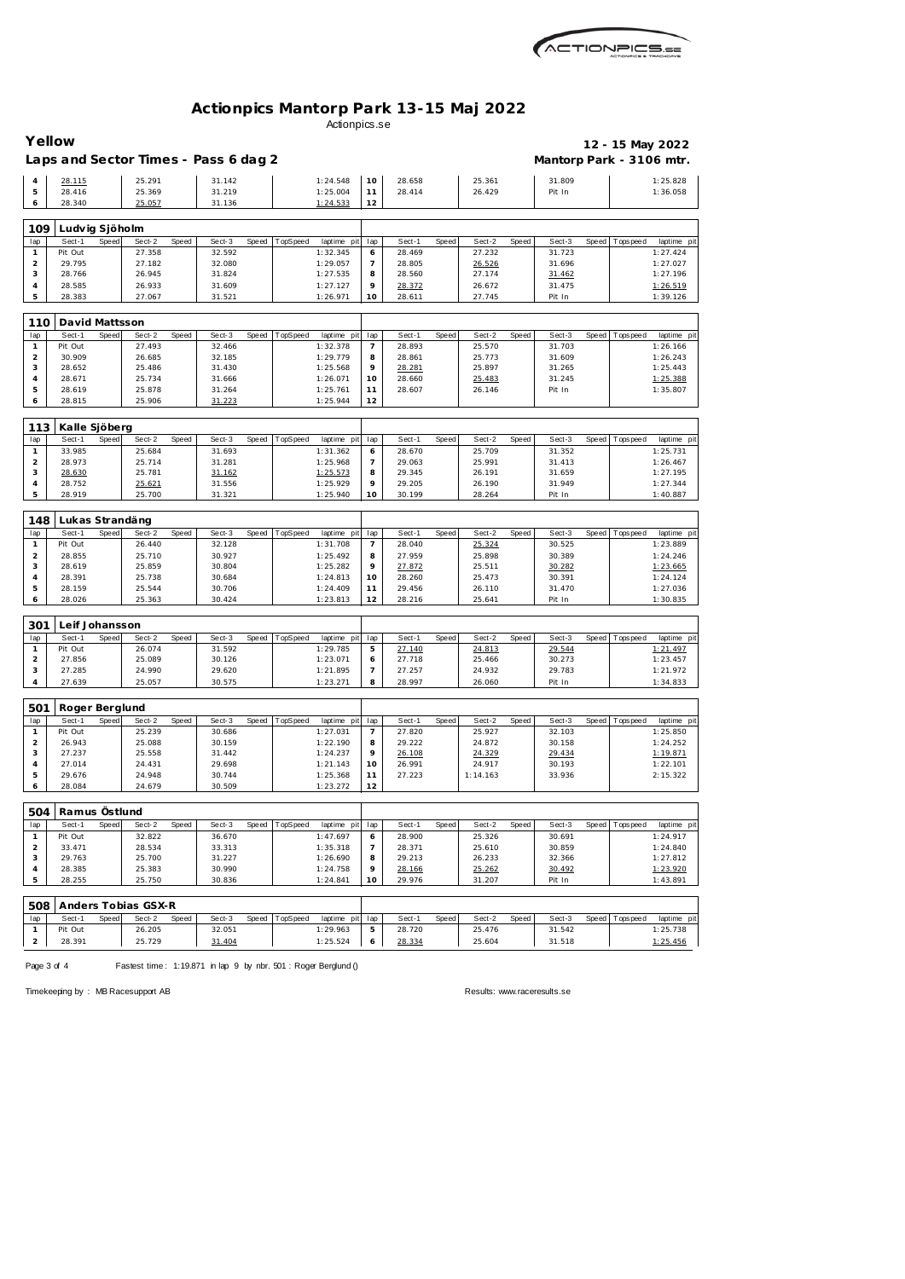

| Yellow              |                   |       |                     |       | Laps and Sector Times - Pass 6 dag 2 |       |          |                         |                |                  |       |                  |       | Mantorp Park - 3106 mtr. |       |                 | 12 - 15 May 2022       |
|---------------------|-------------------|-------|---------------------|-------|--------------------------------------|-------|----------|-------------------------|----------------|------------------|-------|------------------|-------|--------------------------|-------|-----------------|------------------------|
| $\overline{4}$<br>5 | 28.115<br>28.416  |       | 25.291<br>25.369    |       | 31.142<br>31.219                     |       |          | 1:24.548<br>1:25.004    | 10<br>11       | 28.658<br>28.414 |       | 25.361<br>26.429 |       | 31.809<br>Pit In         |       |                 | 1:25.828<br>1:36.058   |
| 6                   | 28.340            |       | 25.057              |       | 31.136                               |       |          | 1:24.533                | 12             |                  |       |                  |       |                          |       |                 |                        |
| 109                 | Ludvig Sjöholm    |       |                     |       |                                      |       |          |                         |                |                  |       |                  |       |                          |       |                 |                        |
| lap                 | Sect-1            | Speed | Sect-2              | Speed | Sect-3                               | Speed | TopSpeed | laptime pit             | lap            | Sect-1           | Speed | Sect-2           | Speed | Sect-3                   |       | Speed Topspeed  | laptime pi             |
| 1                   | Pit Out           |       | 27.358              |       | 32.592                               |       |          | 1:32.345                | 6              | 28.469           |       | 27.232           |       | 31.723                   |       |                 | 1:27.424               |
| $\overline{c}$      | 29.795            |       | 27.182              |       | 32.080                               |       |          | 1:29.057                | 7              | 28.805           |       | 26.526           |       | 31.696                   |       |                 | 1:27.027               |
| 3                   | 28.766<br>28.585  |       | 26.945              |       | 31.824                               |       |          | 1:27.535                | 8<br>9         | 28.560           |       | 27.174           |       | 31.462<br>31.475         |       |                 | 1:27.196               |
| 4<br>5              | 28.383            |       | 26.933<br>27.067    |       | 31.609<br>31.521                     |       |          | 1:27.127<br>1:26.971    | 10             | 28.372<br>28.611 |       | 26.672<br>27.745 |       | Pit In                   |       |                 | 1:26.519<br>1:39.126   |
|                     |                   |       |                     |       |                                      |       |          |                         |                |                  |       |                  |       |                          |       |                 |                        |
| 110                 | David Mattsson    |       |                     |       |                                      |       |          |                         |                |                  |       |                  |       |                          |       |                 |                        |
| lap<br>$\mathbf{1}$ | Sect-1<br>Pit Out | Speed | Sect-2<br>27.493    | Speed | Sect-3<br>32.466                     | Speed | TopSpeed | laptime pit<br>1:32.378 | lap<br>7       | Sect-1<br>28.893 | Speed | Sect-2<br>25.570 | Speed | Sect-3<br>31.703         | Speed | Tops peed       | laptime pi<br>1:26.166 |
| 2                   | 30.909            |       | 26.685              |       | 32.185                               |       |          | 1:29.779                | 8              | 28.861           |       | 25.773           |       | 31.609                   |       |                 | 1:26.243               |
| 3                   | 28.652            |       | 25.486              |       | 31.430                               |       |          | 1:25.568                | 9              | 28.281           |       | 25.897           |       | 31.265                   |       |                 | 1:25.443               |
| 4                   | 28.671            |       | 25.734              |       | 31.666                               |       |          | 1:26.071                | 10             | 28.660           |       | 25.483           |       | 31.245                   |       |                 | 1:25.388               |
| 5                   | 28.619            |       | 25.878              |       | 31.264                               |       |          | 1:25.761                | 11             | 28.607           |       | 26.146           |       | Pit In                   |       |                 | 1:35.807               |
| 6                   | 28.815            |       | 25.906              |       | 31.223                               |       |          | 1:25.944                | 12             |                  |       |                  |       |                          |       |                 |                        |
| 113                 | Kalle Sjöberg     |       |                     |       |                                      |       |          |                         |                |                  |       |                  |       |                          |       |                 |                        |
| lap                 | Sect-1            | Speed | Sect-2              | Speed | Sect-3                               | Speed | TopSpeed | laptime pit             | lap            | Sect-1           | Speed | Sect-2           | Speed | Sect-3                   | Speed | Tops peed       | laptime pit            |
| $\mathbf{1}$        | 33.985            |       | 25.684              |       | 31.693                               |       |          | 1:31.362                | 6              | 28.670           |       | 25.709           |       | 31.352                   |       |                 | 1:25.731               |
| $\overline{a}$      | 28.973            |       | 25.714              |       | 31.281                               |       |          | 1:25.968                | 7              | 29.063           |       | 25.991           |       | 31.413                   |       |                 | 1:26.467               |
| 3                   | 28.630            |       | 25.781              |       | 31.162                               |       |          | 1:25.573                | 8              | 29.345           |       | 26.191           |       | 31.659                   |       |                 | 1:27.195               |
| 4<br>5              | 28.752            |       | 25.621              |       | 31.556                               |       |          | 1:25.929                | 9<br>10        | 29.205<br>30.199 |       | 26.190           |       | 31.949                   |       |                 | 1:27.344               |
|                     | 28.919            |       | 25.700              |       | 31.321                               |       |          | 1:25.940                |                |                  |       | 28.264           |       | Pit In                   |       |                 | 1:40.887               |
| 148                 | Lukas Strandäng   |       |                     |       |                                      |       |          |                         |                |                  |       |                  |       |                          |       |                 |                        |
| lap                 | Sect-1            | Speed | Sect-2              | Speed | Sect-3                               | Speed | TopSpeed | laptime pit             | lap            | Sect-1           | Speed | Sect-2           | Speed | Sect-3                   |       | Speed Topspeed  | laptime pi             |
| 1                   | Pit Out           |       | 26.440              |       | 32.128                               |       |          | 1:31.708                | 7              | 28.040           |       | 25.324           |       | 30.525                   |       |                 | 1:23.889               |
| $\overline{c}$<br>3 | 28.855<br>28.619  |       | 25.710<br>25.859    |       | 30.927<br>30.804                     |       |          | 1:25.492<br>1:25.282    | 8<br>9         | 27.959<br>27.872 |       | 25.898<br>25.511 |       | 30.389<br>30.282         |       |                 | 1:24.246<br>1:23.665   |
| 4                   | 28.391            |       | 25.738              |       | 30.684                               |       |          | 1:24.813                | 10             | 28.260           |       | 25.473           |       | 30.391                   |       |                 | 1:24.124               |
| 5                   | 28.159            |       | 25.544              |       | 30.706                               |       |          | 1:24.409                | 11             | 29.456           |       | 26.110           |       | 31.470                   |       |                 | 1:27.036               |
| 6                   | 28.026            |       | 25.363              |       | 30.424                               |       |          | 1:23.813                | 12             | 28.216           |       | 25.641           |       | Pit In                   |       |                 | 1:30.835               |
| 301                 | Leif Johansson    |       |                     |       |                                      |       |          |                         |                |                  |       |                  |       |                          |       |                 |                        |
| lap                 | Sect-1            | Speed | Sect-2              | Speed | Sect-3                               | Speed | TopSpeed | laptime pit             | lap            | Sect-1           | Speed | Sect-2           | Speed | Sect-3                   | Speed | Tops peed       | laptime pi             |
| $\mathbf{1}$        | Pit Out           |       | 26.074              |       | 31.592                               |       |          | 1:29.785                | 5              | 27.140           |       | 24.813           |       | 29.544                   |       |                 | 1:21.497               |
| $\overline{2}$      | 27.856            |       | 25.089              |       | 30.126                               |       |          | 1:23.071                | 6              | 27.718           |       | 25.466           |       | 30.273                   |       |                 | 1:23.457               |
| 3                   | 27.285            |       | 24.990              |       | 29.620                               |       |          | 1:21.895                | $\overline{7}$ | 27.257           |       | 24.932           |       | 29.783                   |       |                 | 1:21.972               |
| 4                   | 27.639            |       | 25.057              |       | 30.575                               |       |          | 1:23.271                | 8              | 28.997           |       | 26.060           |       | Pit In                   |       |                 | 1:34.833               |
| 501                 | Roger Berglund    |       |                     |       |                                      |       |          |                         |                |                  |       |                  |       |                          |       |                 |                        |
| lap                 | Sect-1            | Speed | Sect-2              | Speed | Sect-3                               | Speed | TopSpeed | laptime pit             | lap            | Sect-1           | Speed | Sect-2           | Speed | Sect-3                   | Speed | Topspeed        | laptime pi             |
| 1                   | Pit Out           |       | 25.239              |       | 30.686                               |       |          | 1:27.031                | 7              | 27.820           |       | 25.927           |       | 32.103                   |       |                 | 1:25.850               |
| $\overline{a}$      | 26.943            |       | 25.088              |       | 30.159                               |       |          | 1:22.190                | 8              | 29.222           |       | 24.872           |       | 30.158                   |       |                 | 1:24.252               |
| 3                   | 27.237            |       | 25.558              |       | 31.442                               |       |          | 1:24.237                | 9              | 26.108           |       | 24.329           |       | 29.434                   |       |                 | 1:19.871               |
| 4                   | 27.014            |       | 24.431              |       | 29.698                               |       |          | 1:21.143                | 10             | 26.991           |       | 24.917           |       | 30.193                   |       |                 | 1:22.101               |
| 5                   | 29.676            |       | 24.948              |       | 30.744                               |       |          | 1:25.368                | 11             | 27.223           |       | 1:14.163         |       | 33.936                   |       |                 | 2:15.322               |
| 6                   | 28.084            |       | 24.679              |       | 30.509                               |       |          | 1:23.272                | 12             |                  |       |                  |       |                          |       |                 |                        |
| 504                 | Ramus Östlund     |       |                     |       |                                      |       |          |                         |                |                  |       |                  |       |                          |       |                 |                        |
| lap                 | Sect-1            | Speed | Sect-2              | Speed | Sect-3                               | Speed | TopSpeed | laptime pit             | lap            | Sect-1           | Speed | Sect-2           | Speed | Sect-3                   |       | Speed Tops peed | laptime pi             |
| $\mathbf{1}$        | Pit Out           |       | 32.822              |       | 36.670                               |       |          | 1:47.697                | 6              | 28.900           |       | 25.326           |       | 30.691                   |       |                 | 1:24.917               |
| $\overline{a}$      | 33.471            |       | 28.534              |       | 33.313                               |       |          | 1:35.318                | 7              | 28.371           |       | 25.610           |       | 30.859                   |       |                 | 1:24.840               |
| 3                   | 29.763            |       | 25.700              |       | 31.227                               |       |          | 1:26.690                | 8              | 29.213           |       | 26.233           |       | 32.366                   |       |                 | 1:27.812               |
| 4                   | 28.385            |       | 25.383              |       | 30.990                               |       |          | 1:24.758                | 9              | 28.166           |       | 25.262           |       | 30.492                   |       |                 | 1:23.920               |
| 5                   | 28.255            |       | 25.750              |       | 30.836                               |       |          | 1:24.841                | 10             | 29.976           |       | 31.207           |       | Pit In                   |       |                 | 1:43.891               |
| 508                 |                   |       | Anders Tobias GSX-R |       |                                      |       |          |                         |                |                  |       |                  |       |                          |       |                 |                        |
| lap                 | Sect-1            | Speed | Sect-2              | Speed | Sect-3                               | Speed | TopSpeed | laptime pit             | lap            | Sect-1           | Speed | Sect-2           | Speed | Sect-3                   | Speed | T ops pee d     | laptime pi             |
|                     | Pit Out           |       | 26.205              |       | 32.051                               |       |          | 1:29.963                | 5              | 28.720           |       | 25.476           |       | 31.542                   |       |                 | 1:25.738               |

Page 3 of 4 Fastest time: 1:19.871 in lap 9 by nbr. 501 : Roger Berglund ()

2 28.391 25.729 31.404 1:25.524 6

Timekeeping by : MB Racesupport AB Results:<www.raceresults.se>

**<u>28.334</u>** 25.604 31.518 1:25.456